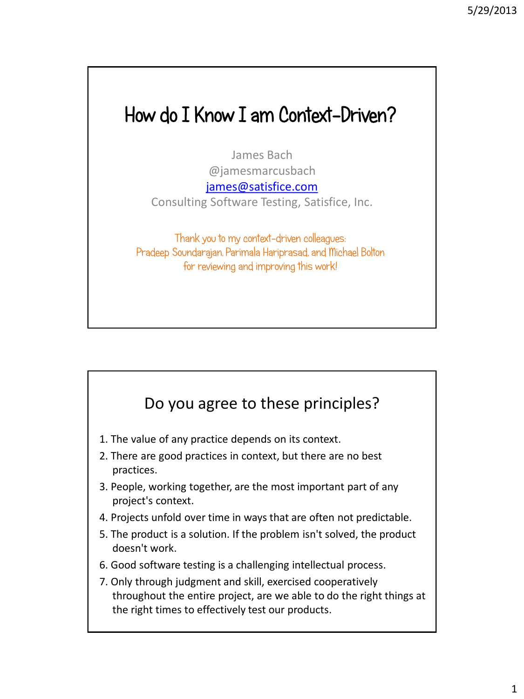# How do I Know I am Context-Driven?

James Bach @jamesmarcusbach

[james@satisfice.com](mailto:James@satisfice.com)

Consulting Software Testing, Satisfice, Inc.

Thank you to my context-driven colleagues: Pradeep Soundarajan, Parimala Hariprasad, and Michael Bolton for reviewing and improving this work!

#### Do you agree to these principles?

- 1. The value of any practice depends on its context.
- 2. There are good practices in context, but there are no best practices.
- 3. People, working together, are the most important part of any project's context.
- 4. Projects unfold over time in ways that are often not predictable.
- 5. The product is a solution. If the problem isn't solved, the product doesn't work.
- 6. Good software testing is a challenging intellectual process.
- 7. Only through judgment and skill, exercised cooperatively throughout the entire project, are we able to do the right things at the right times to effectively test our products.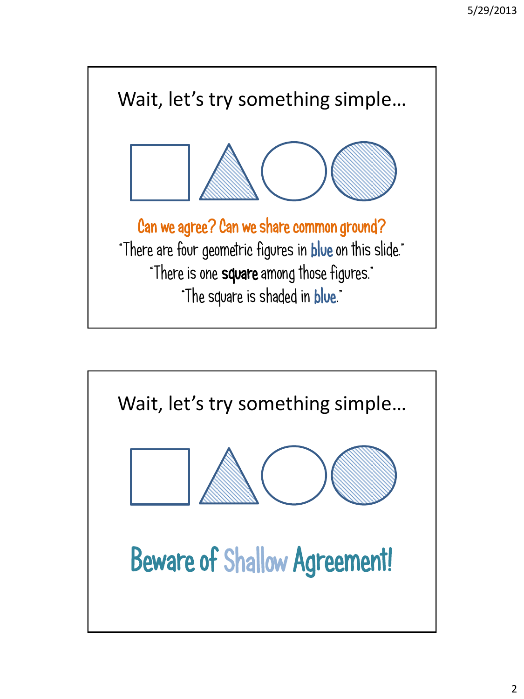

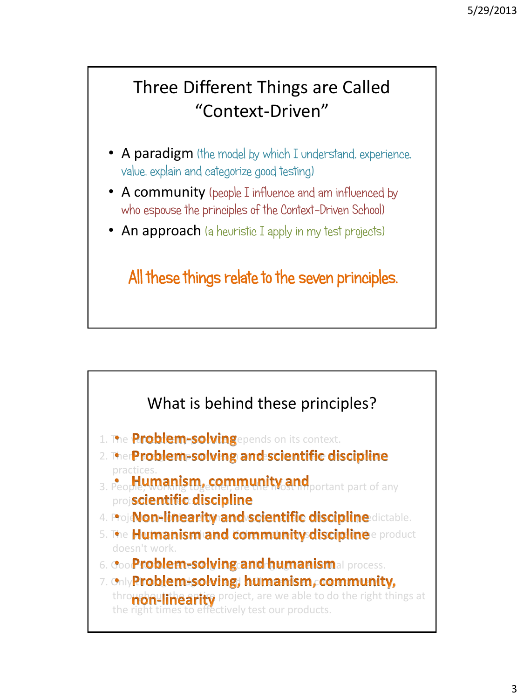### Three Different Things are Called "Context-Driven"

- A paradigm (the model by which I understand, experience, value, explain and categorize good testing)
- A community (people I influence and am influenced by who espouse the principles of the Context-Driven School)
- An approach (a heuristic I apply in my test projects)

All these things relate to the seven principles.



- 1. The **Problem-solving**epends on its context.
- 2. Ther**Problem-solving and scientific discipline** practices.
- 3. People, working to most important part of any projscientific discipline
- 4. Proj**Non-linearity and scientific discipline** dictable.
- 5. The **Humanism and community discipline** e product doesn't work.
- 6. Good **Problem-solving and humanismal process.**
- 7. Only Problem+solving, humanism, community, throughouline arity project, are we able to do the right things at the right times to effectively test our products.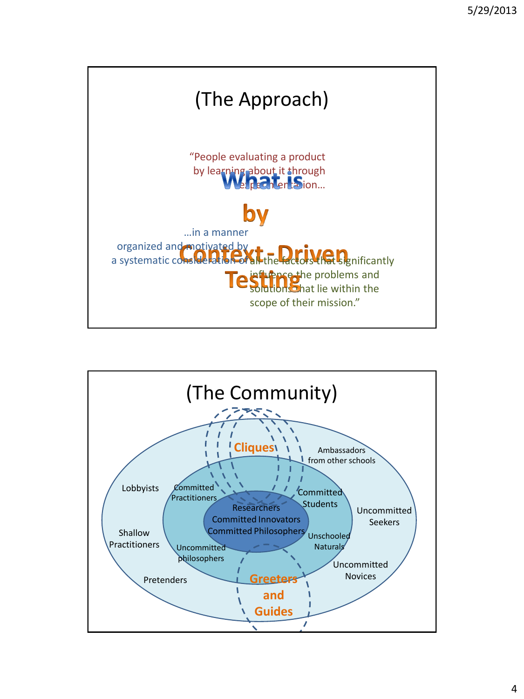

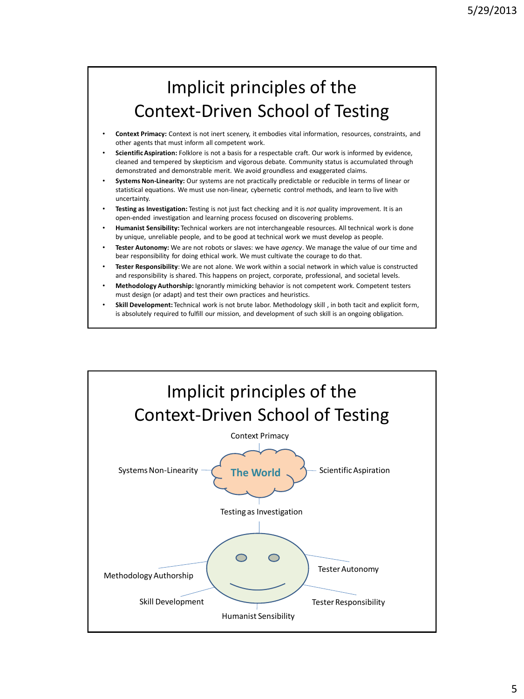### Implicit principles of the Context-Driven School of Testing

- **Context Primacy:** Context is not inert scenery, it embodies vital information, resources, constraints, and other agents that must inform all competent work.
- **Scientific Aspiration:** Folklore is not a basis for a respectable craft. Our work is informed by evidence, cleaned and tempered by skepticism and vigorous debate. Community status is accumulated through demonstrated and demonstrable merit. We avoid groundless and exaggerated claims.
- **Systems Non-Linearity:** Our systems are not practically predictable or reducible in terms of linear or statistical equations. We must use non-linear, cybernetic control methods, and learn to live with uncertainty.
- **Testing as Investigation:** Testing is not just fact checking and it is *not* quality improvement. It is an open-ended investigation and learning process focused on discovering problems.
- **Humanist Sensibility:** Technical workers are not interchangeable resources. All technical work is done by unique, unreliable people, and to be good at technical work we must develop as people.
- **Tester Autonomy:** We are not robots or slaves: we have *agency*. We manage the value of our time and bear responsibility for doing ethical work. We must cultivate the courage to do that.
- **Tester Responsibility**: We are not alone. We work within a social network in which value is constructed and responsibility is shared. This happens on project, corporate, professional, and societal levels.
- **Methodology Authorship:** Ignorantly mimicking behavior is not competent work. Competent testers must design (or adapt) and test their own practices and heuristics.
- **Skill Development:** Technical work is not brute labor. Methodology skill , in both tacit and explicit form, is absolutely required to fulfill our mission, and development of such skill is an ongoing obligation.

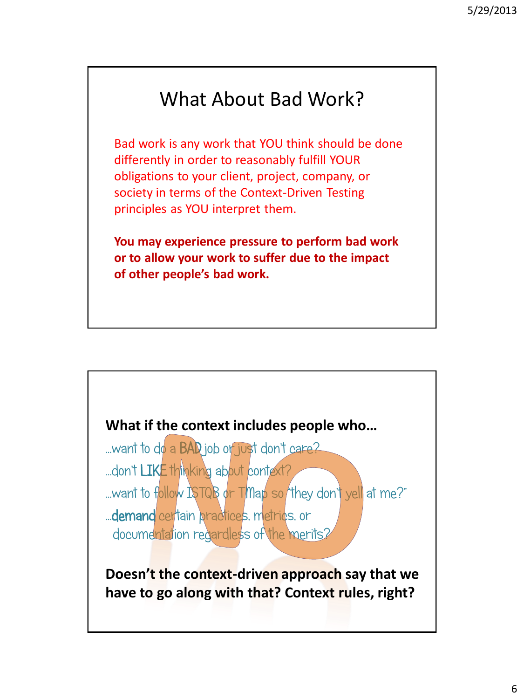# What About Bad Work?

Bad work is any work that YOU think should be done differently in order to reasonably fulfill YOUR obligations to your client, project, company, or society in terms of the Context-Driven Testing principles as YOU interpret them.

**You may experience pressure to perform bad work or to allow your work to suffer due to the impact of other people's bad work.**

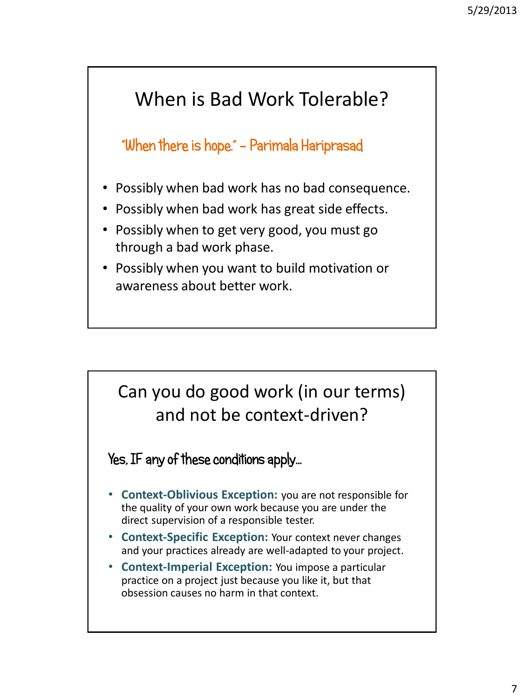# When is Bad Work Tolerable?

"When there is hope." - Parimala Hariprasad

- Possibly when bad work has no bad consequence.
- Possibly when bad work has great side effects.
- Possibly when to get very good, you must go through a bad work phase.
- Possibly when you want to build motivation or awareness about better work.

## Can you do good work (in our terms) and not be context-driven?

Yes, IF any of these conditions apply…

- **Context-Oblivious Exception:** you are not responsible for the quality of your own work because you are under the direct supervision of a responsible tester.
- **Context-Specific Exception:** Your context never changes and your practices already are well-adapted to your project.
- **Context-Imperial Exception:** You impose a particular practice on a project just because you like it, but that obsession causes no harm in that context.